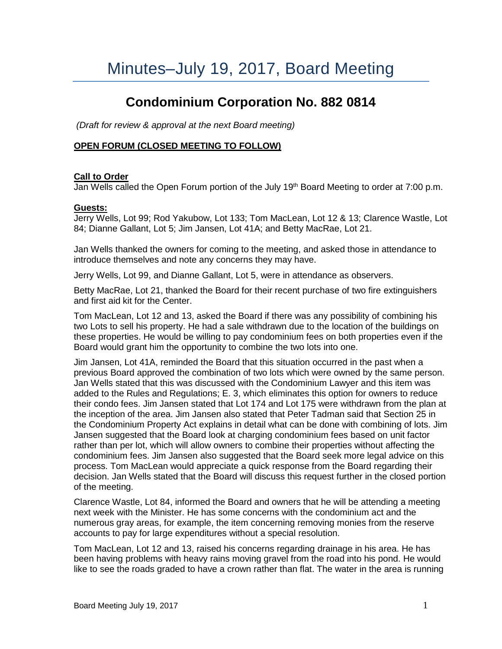# Minutes–July 19, 2017, Board Meeting

# **Condominium Corporation No. 882 0814**

*(Draft for review & approval at the next Board meeting)*

## **OPEN FORUM (CLOSED MEETING TO FOLLOW)**

#### **Call to Order**

Jan Wells called the Open Forum portion of the July 19<sup>th</sup> Board Meeting to order at 7:00 p.m.

#### **Guests:**

Jerry Wells, Lot 99; Rod Yakubow, Lot 133; Tom MacLean, Lot 12 & 13; Clarence Wastle, Lot 84; Dianne Gallant, Lot 5; Jim Jansen, Lot 41A; and Betty MacRae, Lot 21.

Jan Wells thanked the owners for coming to the meeting, and asked those in attendance to introduce themselves and note any concerns they may have.

Jerry Wells, Lot 99, and Dianne Gallant, Lot 5, were in attendance as observers.

Betty MacRae, Lot 21, thanked the Board for their recent purchase of two fire extinguishers and first aid kit for the Center.

Tom MacLean, Lot 12 and 13, asked the Board if there was any possibility of combining his two Lots to sell his property. He had a sale withdrawn due to the location of the buildings on these properties. He would be willing to pay condominium fees on both properties even if the Board would grant him the opportunity to combine the two lots into one.

Jim Jansen, Lot 41A, reminded the Board that this situation occurred in the past when a previous Board approved the combination of two lots which were owned by the same person. Jan Wells stated that this was discussed with the Condominium Lawyer and this item was added to the Rules and Regulations; E. 3, which eliminates this option for owners to reduce their condo fees. Jim Jansen stated that Lot 174 and Lot 175 were withdrawn from the plan at the inception of the area. Jim Jansen also stated that Peter Tadman said that Section 25 in the Condominium Property Act explains in detail what can be done with combining of lots. Jim Jansen suggested that the Board look at charging condominium fees based on unit factor rather than per lot, which will allow owners to combine their properties without affecting the condominium fees. Jim Jansen also suggested that the Board seek more legal advice on this process. Tom MacLean would appreciate a quick response from the Board regarding their decision. Jan Wells stated that the Board will discuss this request further in the closed portion of the meeting.

Clarence Wastle, Lot 84, informed the Board and owners that he will be attending a meeting next week with the Minister. He has some concerns with the condominium act and the numerous gray areas, for example, the item concerning removing monies from the reserve accounts to pay for large expenditures without a special resolution.

Tom MacLean, Lot 12 and 13, raised his concerns regarding drainage in his area. He has been having problems with heavy rains moving gravel from the road into his pond. He would like to see the roads graded to have a crown rather than flat. The water in the area is running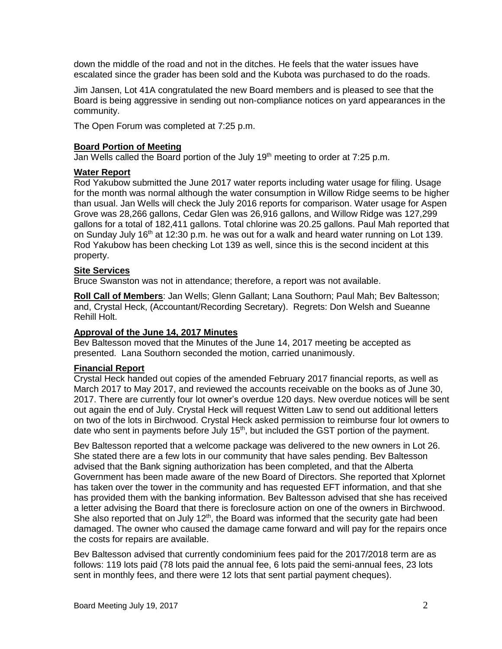down the middle of the road and not in the ditches. He feels that the water issues have escalated since the grader has been sold and the Kubota was purchased to do the roads.

Jim Jansen, Lot 41A congratulated the new Board members and is pleased to see that the Board is being aggressive in sending out non-compliance notices on yard appearances in the community.

The Open Forum was completed at 7:25 p.m.

# **Board Portion of Meeting**

Jan Wells called the Board portion of the July 19<sup>th</sup> meeting to order at 7:25 p.m.

## **Water Report**

Rod Yakubow submitted the June 2017 water reports including water usage for filing. Usage for the month was normal although the water consumption in Willow Ridge seems to be higher than usual. Jan Wells will check the July 2016 reports for comparison. Water usage for Aspen Grove was 28,266 gallons, Cedar Glen was 26,916 gallons, and Willow Ridge was 127,299 gallons for a total of 182,411 gallons. Total chlorine was 20.25 gallons. Paul Mah reported that on Sunday July 16<sup>th</sup> at 12:30 p.m. he was out for a walk and heard water running on Lot 139. Rod Yakubow has been checking Lot 139 as well, since this is the second incident at this property.

#### **Site Services**

Bruce Swanston was not in attendance; therefore, a report was not available.

**Roll Call of Members**: Jan Wells; Glenn Gallant; Lana Southorn; Paul Mah; Bev Baltesson; and, Crystal Heck, (Accountant/Recording Secretary). Regrets: Don Welsh and Sueanne Rehill Holt.

## **Approval of the June 14, 2017 Minutes**

Bev Baltesson moved that the Minutes of the June 14, 2017 meeting be accepted as presented. Lana Southorn seconded the motion, carried unanimously.

## **Financial Report**

Crystal Heck handed out copies of the amended February 2017 financial reports, as well as March 2017 to May 2017, and reviewed the accounts receivable on the books as of June 30, 2017. There are currently four lot owner's overdue 120 days. New overdue notices will be sent out again the end of July. Crystal Heck will request Witten Law to send out additional letters on two of the lots in Birchwood. Crystal Heck asked permission to reimburse four lot owners to date who sent in payments before July 15<sup>th</sup>, but included the GST portion of the payment.

Bev Baltesson reported that a welcome package was delivered to the new owners in Lot 26. She stated there are a few lots in our community that have sales pending. Bev Baltesson advised that the Bank signing authorization has been completed, and that the Alberta Government has been made aware of the new Board of Directors. She reported that Xplornet has taken over the tower in the community and has requested EFT information, and that she has provided them with the banking information. Bev Baltesson advised that she has received a letter advising the Board that there is foreclosure action on one of the owners in Birchwood. She also reported that on July  $12<sup>th</sup>$ , the Board was informed that the security gate had been damaged. The owner who caused the damage came forward and will pay for the repairs once the costs for repairs are available.

Bev Baltesson advised that currently condominium fees paid for the 2017/2018 term are as follows: 119 lots paid (78 lots paid the annual fee, 6 lots paid the semi-annual fees, 23 lots sent in monthly fees, and there were 12 lots that sent partial payment cheques).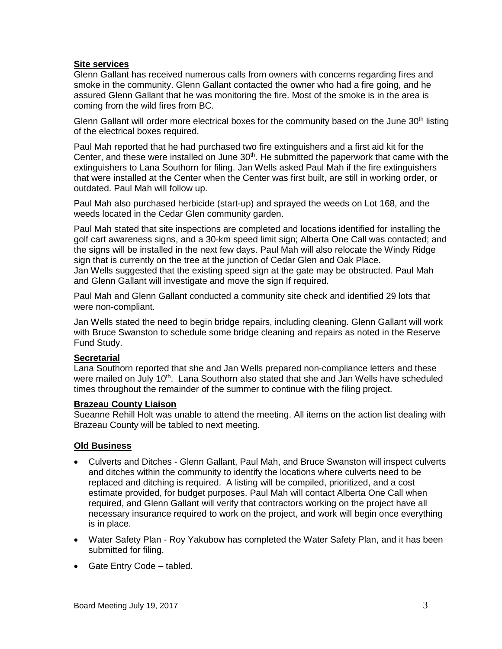## **Site services**

Glenn Gallant has received numerous calls from owners with concerns regarding fires and smoke in the community. Glenn Gallant contacted the owner who had a fire going, and he assured Glenn Gallant that he was monitoring the fire. Most of the smoke is in the area is coming from the wild fires from BC.

Glenn Gallant will order more electrical boxes for the community based on the June  $30<sup>th</sup>$  listing of the electrical boxes required.

Paul Mah reported that he had purchased two fire extinguishers and a first aid kit for the Center, and these were installed on June  $30<sup>th</sup>$ . He submitted the paperwork that came with the extinguishers to Lana Southorn for filing. Jan Wells asked Paul Mah if the fire extinguishers that were installed at the Center when the Center was first built, are still in working order, or outdated. Paul Mah will follow up.

Paul Mah also purchased herbicide (start-up) and sprayed the weeds on Lot 168, and the weeds located in the Cedar Glen community garden.

Paul Mah stated that site inspections are completed and locations identified for installing the golf cart awareness signs, and a 30-km speed limit sign; Alberta One Call was contacted; and the signs will be installed in the next few days. Paul Mah will also relocate the Windy Ridge sign that is currently on the tree at the junction of Cedar Glen and Oak Place. Jan Wells suggested that the existing speed sign at the gate may be obstructed. Paul Mah and Glenn Gallant will investigate and move the sign If required.

Paul Mah and Glenn Gallant conducted a community site check and identified 29 lots that were non-compliant.

Jan Wells stated the need to begin bridge repairs, including cleaning. Glenn Gallant will work with Bruce Swanston to schedule some bridge cleaning and repairs as noted in the Reserve Fund Study.

## **Secretarial**

Lana Southorn reported that she and Jan Wells prepared non-compliance letters and these were mailed on July 10<sup>th</sup>. Lana Southorn also stated that she and Jan Wells have scheduled times throughout the remainder of the summer to continue with the filing project.

#### **Brazeau County Liaison**

Sueanne Rehill Holt was unable to attend the meeting. All items on the action list dealing with Brazeau County will be tabled to next meeting.

## **Old Business**

- Culverts and Ditches Glenn Gallant, Paul Mah, and Bruce Swanston will inspect culverts and ditches within the community to identify the locations where culverts need to be replaced and ditching is required. A listing will be compiled, prioritized, and a cost estimate provided, for budget purposes. Paul Mah will contact Alberta One Call when required, and Glenn Gallant will verify that contractors working on the project have all necessary insurance required to work on the project, and work will begin once everything is in place.
- Water Safety Plan Roy Yakubow has completed the Water Safety Plan, and it has been submitted for filing.
- Gate Entry Code tabled.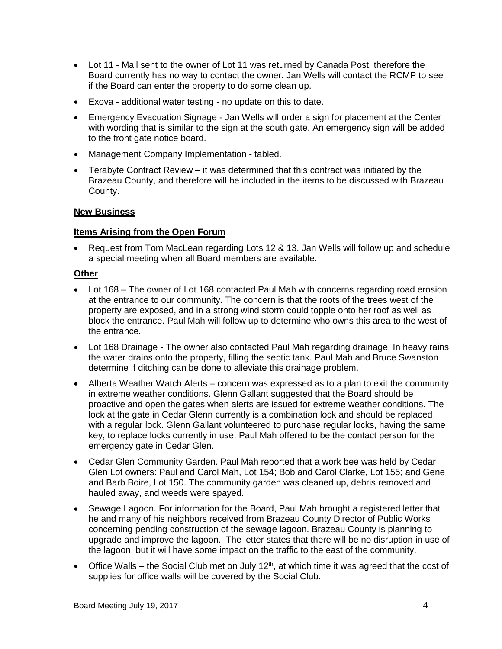- Lot 11 Mail sent to the owner of Lot 11 was returned by Canada Post, therefore the Board currently has no way to contact the owner. Jan Wells will contact the RCMP to see if the Board can enter the property to do some clean up.
- Exova additional water testing no update on this to date.
- Emergency Evacuation Signage Jan Wells will order a sign for placement at the Center with wording that is similar to the sign at the south gate. An emergency sign will be added to the front gate notice board.
- Management Company Implementation tabled.
- Terabyte Contract Review it was determined that this contract was initiated by the Brazeau County, and therefore will be included in the items to be discussed with Brazeau County.

#### **New Business**

#### **Items Arising from the Open Forum**

• Request from Tom MacLean regarding Lots 12 & 13. Jan Wells will follow up and schedule a special meeting when all Board members are available.

#### **Other**

- Lot 168 The owner of Lot 168 contacted Paul Mah with concerns regarding road erosion at the entrance to our community. The concern is that the roots of the trees west of the property are exposed, and in a strong wind storm could topple onto her roof as well as block the entrance. Paul Mah will follow up to determine who owns this area to the west of the entrance.
- Lot 168 Drainage The owner also contacted Paul Mah regarding drainage. In heavy rains the water drains onto the property, filling the septic tank. Paul Mah and Bruce Swanston determine if ditching can be done to alleviate this drainage problem.
- Alberta Weather Watch Alerts concern was expressed as to a plan to exit the community in extreme weather conditions. Glenn Gallant suggested that the Board should be proactive and open the gates when alerts are issued for extreme weather conditions. The lock at the gate in Cedar Glenn currently is a combination lock and should be replaced with a regular lock. Glenn Gallant volunteered to purchase regular locks, having the same key, to replace locks currently in use. Paul Mah offered to be the contact person for the emergency gate in Cedar Glen.
- Cedar Glen Community Garden. Paul Mah reported that a work bee was held by Cedar Glen Lot owners: Paul and Carol Mah, Lot 154; Bob and Carol Clarke, Lot 155; and Gene and Barb Boire, Lot 150. The community garden was cleaned up, debris removed and hauled away, and weeds were spayed.
- Sewage Lagoon. For information for the Board, Paul Mah brought a registered letter that he and many of his neighbors received from Brazeau County Director of Public Works concerning pending construction of the sewage lagoon. Brazeau County is planning to upgrade and improve the lagoon. The letter states that there will be no disruption in use of the lagoon, but it will have some impact on the traffic to the east of the community.
- Office Walls the Social Club met on July  $12<sup>th</sup>$ , at which time it was agreed that the cost of supplies for office walls will be covered by the Social Club.